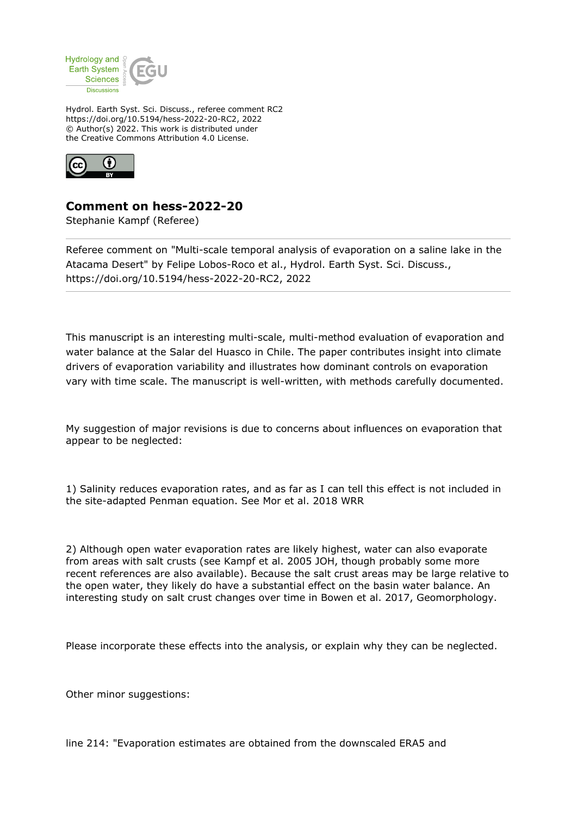

Hydrol. Earth Syst. Sci. Discuss., referee comment RC2 https://doi.org/10.5194/hess-2022-20-RC2, 2022 © Author(s) 2022. This work is distributed under the Creative Commons Attribution 4.0 License.



**Comment on hess-2022-20**

Stephanie Kampf (Referee)

Referee comment on "Multi-scale temporal analysis of evaporation on a saline lake in the Atacama Desert" by Felipe Lobos-Roco et al., Hydrol. Earth Syst. Sci. Discuss., https://doi.org/10.5194/hess-2022-20-RC2, 2022

This manuscript is an interesting multi-scale, multi-method evaluation of evaporation and water balance at the Salar del Huasco in Chile. The paper contributes insight into climate drivers of evaporation variability and illustrates how dominant controls on evaporation vary with time scale. The manuscript is well-written, with methods carefully documented.

My suggestion of major revisions is due to concerns about influences on evaporation that appear to be neglected:

1) Salinity reduces evaporation rates, and as far as I can tell this effect is not included in the site-adapted Penman equation. See Mor et al. 2018 WRR

2) Although open water evaporation rates are likely highest, water can also evaporate from areas with salt crusts (see Kampf et al. 2005 JOH, though probably some more recent references are also available). Because the salt crust areas may be large relative to the open water, they likely do have a substantial effect on the basin water balance. An interesting study on salt crust changes over time in Bowen et al. 2017, Geomorphology.

Please incorporate these effects into the analysis, or explain why they can be neglected.

Other minor suggestions:

line 214: "Evaporation estimates are obtained from the downscaled ERA5 and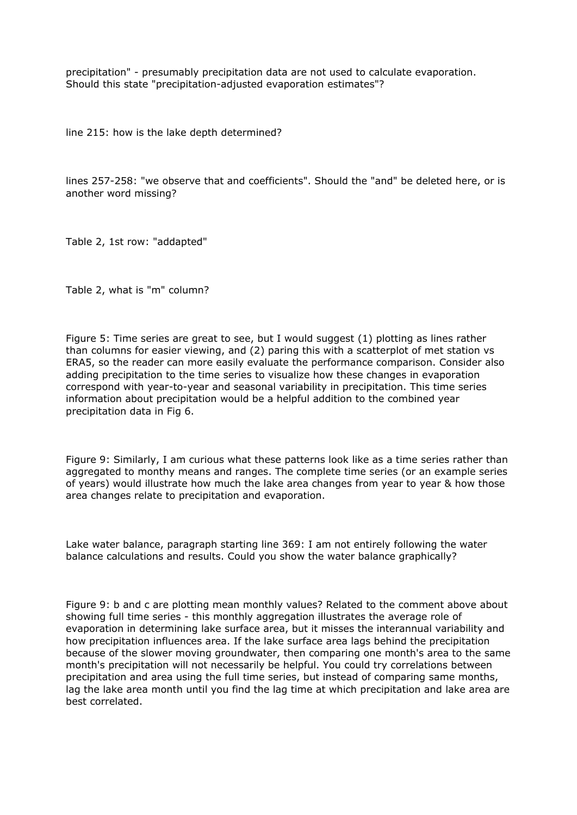precipitation" - presumably precipitation data are not used to calculate evaporation. Should this state "precipitation-adjusted evaporation estimates"?

line 215: how is the lake depth determined?

lines 257-258: "we observe that and coefficients". Should the "and" be deleted here, or is another word missing?

Table 2, 1st row: "addapted"

Table 2, what is "m" column?

Figure 5: Time series are great to see, but I would suggest (1) plotting as lines rather than columns for easier viewing, and (2) paring this with a scatterplot of met station vs ERA5, so the reader can more easily evaluate the performance comparison. Consider also adding precipitation to the time series to visualize how these changes in evaporation correspond with year-to-year and seasonal variability in precipitation. This time series information about precipitation would be a helpful addition to the combined year precipitation data in Fig 6.

Figure 9: Similarly, I am curious what these patterns look like as a time series rather than aggregated to monthy means and ranges. The complete time series (or an example series of years) would illustrate how much the lake area changes from year to year & how those area changes relate to precipitation and evaporation.

Lake water balance, paragraph starting line 369: I am not entirely following the water balance calculations and results. Could you show the water balance graphically?

Figure 9: b and c are plotting mean monthly values? Related to the comment above about showing full time series - this monthly aggregation illustrates the average role of evaporation in determining lake surface area, but it misses the interannual variability and how precipitation influences area. If the lake surface area lags behind the precipitation because of the slower moving groundwater, then comparing one month's area to the same month's precipitation will not necessarily be helpful. You could try correlations between precipitation and area using the full time series, but instead of comparing same months, lag the lake area month until you find the lag time at which precipitation and lake area are best correlated.